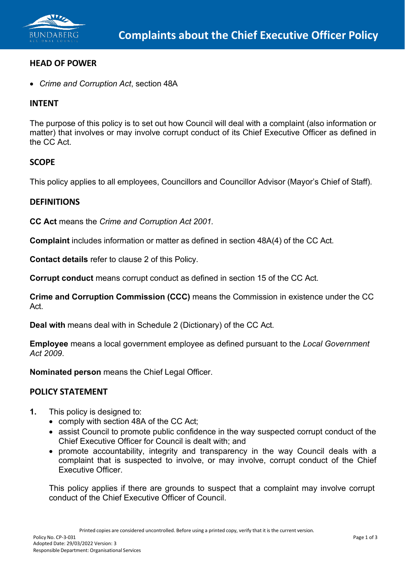

### **HEAD OF POWER**

• *Crime and Corruption Act*, section 48A

### **INTENT**

The purpose of this policy is to set out how Council will deal with a complaint (also information or matter) that involves or may involve corrupt conduct of its Chief Executive Officer as defined in the CC Act.

# **SCOPE**

This policy applies to all employees, Councillors and Councillor Advisor (Mayor's Chief of Staff).

### **DEFINITIONS**

**CC Act** means the *Crime and Corruption Act 2001.*

**Complaint** includes information or matter as defined in section 48A(4) of the CC Act.

**Contact details** refer to clause 2 of this Policy.

**Corrupt conduct** means corrupt conduct as defined in section 15 of the CC Act.

**Crime and Corruption Commission (CCC)** means the Commission in existence under the CC Act.

**Deal with** means deal with in Schedule 2 (Dictionary) of the CC Act.

**Employee** means a local government employee as defined pursuant to the *Local Government Act 2009*.

**Nominated person** means the Chief Legal Officer.

### **POLICY STATEMENT**

- **1.** This policy is designed to:
	- comply with section 48A of the CC Act;
	- assist Council to promote public confidence in the way suspected corrupt conduct of the Chief Executive Officer for Council is dealt with; and
	- promote accountability, integrity and transparency in the way Council deals with a complaint that is suspected to involve, or may involve, corrupt conduct of the Chief Executive Officer.

This policy applies if there are grounds to suspect that a complaint may involve corrupt conduct of the Chief Executive Officer of Council.

Printed copies are considered uncontrolled. Before using a printed copy, verify that it is the current version.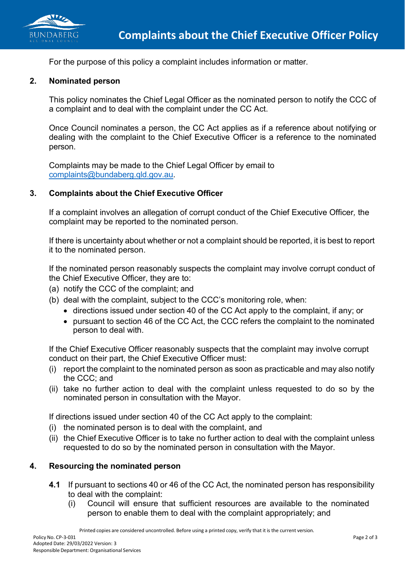

For the purpose of this policy a complaint includes information or matter.

#### **2. Nominated person**

This policy nominates the Chief Legal Officer as the nominated person to notify the CCC of a complaint and to deal with the complaint under the CC Act.

Once Council nominates a person, the CC Act applies as if a reference about notifying or dealing with the complaint to the Chief Executive Officer is a reference to the nominated person.

Complaints may be made to the Chief Legal Officer by email to [complaints@bundaberg.qld.gov.au.](mailto:complaints@bundaberg.qld.gov.au)

### **3. Complaints about the Chief Executive Officer**

If a complaint involves an allegation of corrupt conduct of the Chief Executive Officer*,* the complaint may be reported to the nominated person.

If there is uncertainty about whether or not a complaint should be reported, it is best to report it to the nominated person.

If the nominated person reasonably suspects the complaint may involve corrupt conduct of the Chief Executive Officer, they are to:

- (a) notify the CCC of the complaint; and
- (b) deal with the complaint, subject to the CCC's monitoring role, when:
	- directions issued under section 40 of the CC Act apply to the complaint, if any; or
	- pursuant to section 46 of the CC Act, the CCC refers the complaint to the nominated person to deal with.

If the Chief Executive Officer reasonably suspects that the complaint may involve corrupt conduct on their part, the Chief Executive Officer must:

- (i) report the complaint to the nominated person as soon as practicable and may also notify the CCC; and
- (ii) take no further action to deal with the complaint unless requested to do so by the nominated person in consultation with the Mayor.

If directions issued under section 40 of the CC Act apply to the complaint:

- (i) the nominated person is to deal with the complaint, and
- (ii) the Chief Executive Officer is to take no further action to deal with the complaint unless requested to do so by the nominated person in consultation with the Mayor.

### **4. Resourcing the nominated person**

- **4.1** If pursuant to sections 40 or 46 of the CC Act, the nominated person has responsibility to deal with the complaint:
	- (i) Council will ensure that sufficient resources are available to the nominated person to enable them to deal with the complaint appropriately; and

Printed copies are considered uncontrolled. Before using a printed copy, verify that it is the current version.